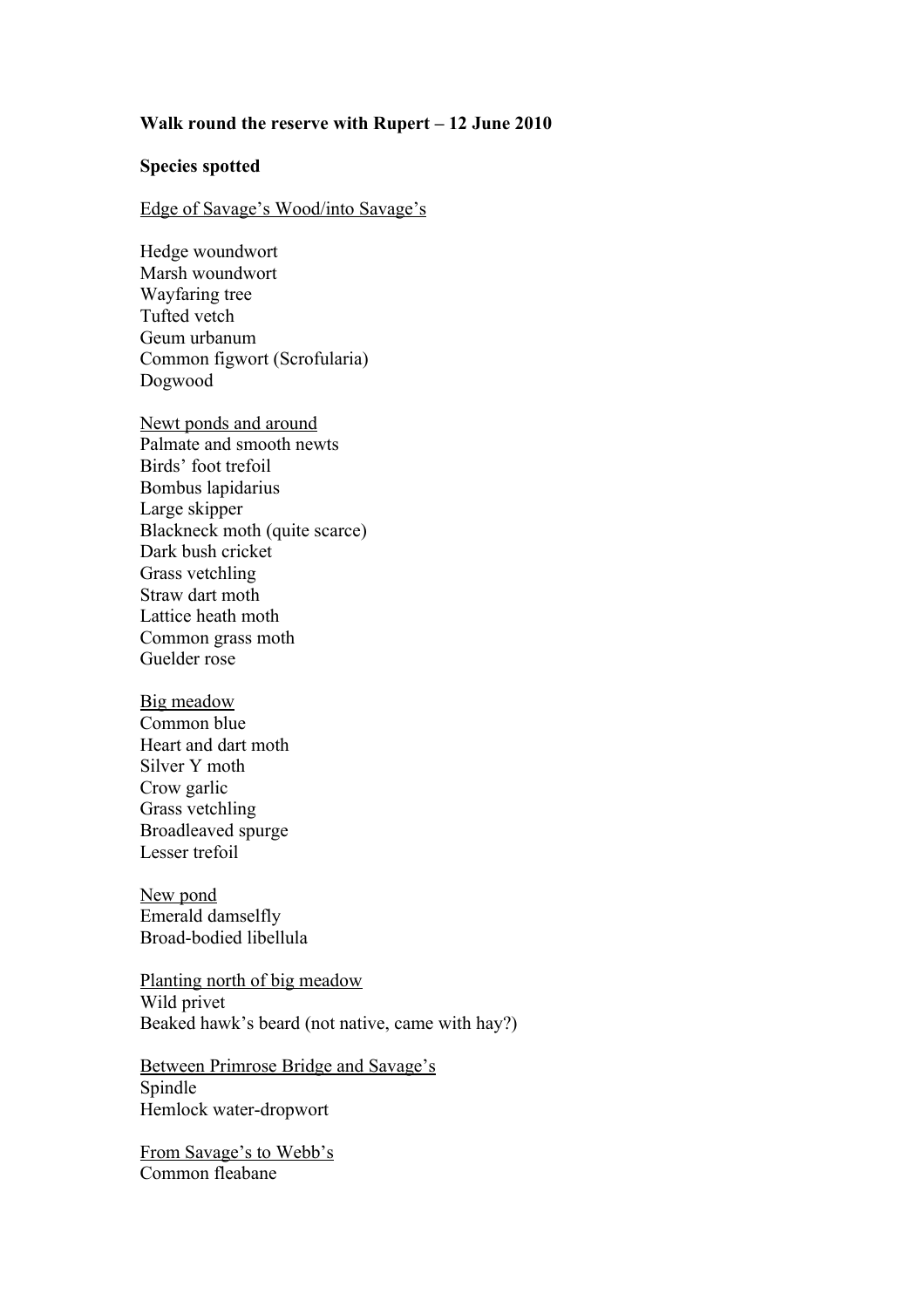## **Walk round the reserve with Rupert – 12 June 2010**

## **Species spotted**

## Edge of Savage's Wood/into Savage's

Hedge woundwort Marsh woundwort Wayfaring tree Tufted vetch Geum urbanum Common figwort (Scrofularia) Dogwood

Newt ponds and around Palmate and smooth newts Birds' foot trefoil Bombus lapidarius Large skipper Blackneck moth (quite scarce) Dark bush cricket Grass vetchling Straw dart moth Lattice heath moth Common grass moth Guelder rose

Big meadow Common blue Heart and dart moth Silver Y moth Crow garlic Grass vetchling Broadleaved spurge Lesser trefoil

New pond Emerald damselfly Broad-bodied libellula

Planting north of big meadow Wild privet Beaked hawk's beard (not native, came with hay?)

Between Primrose Bridge and Savage's Spindle Hemlock water-dropwort

From Savage's to Webb's Common fleabane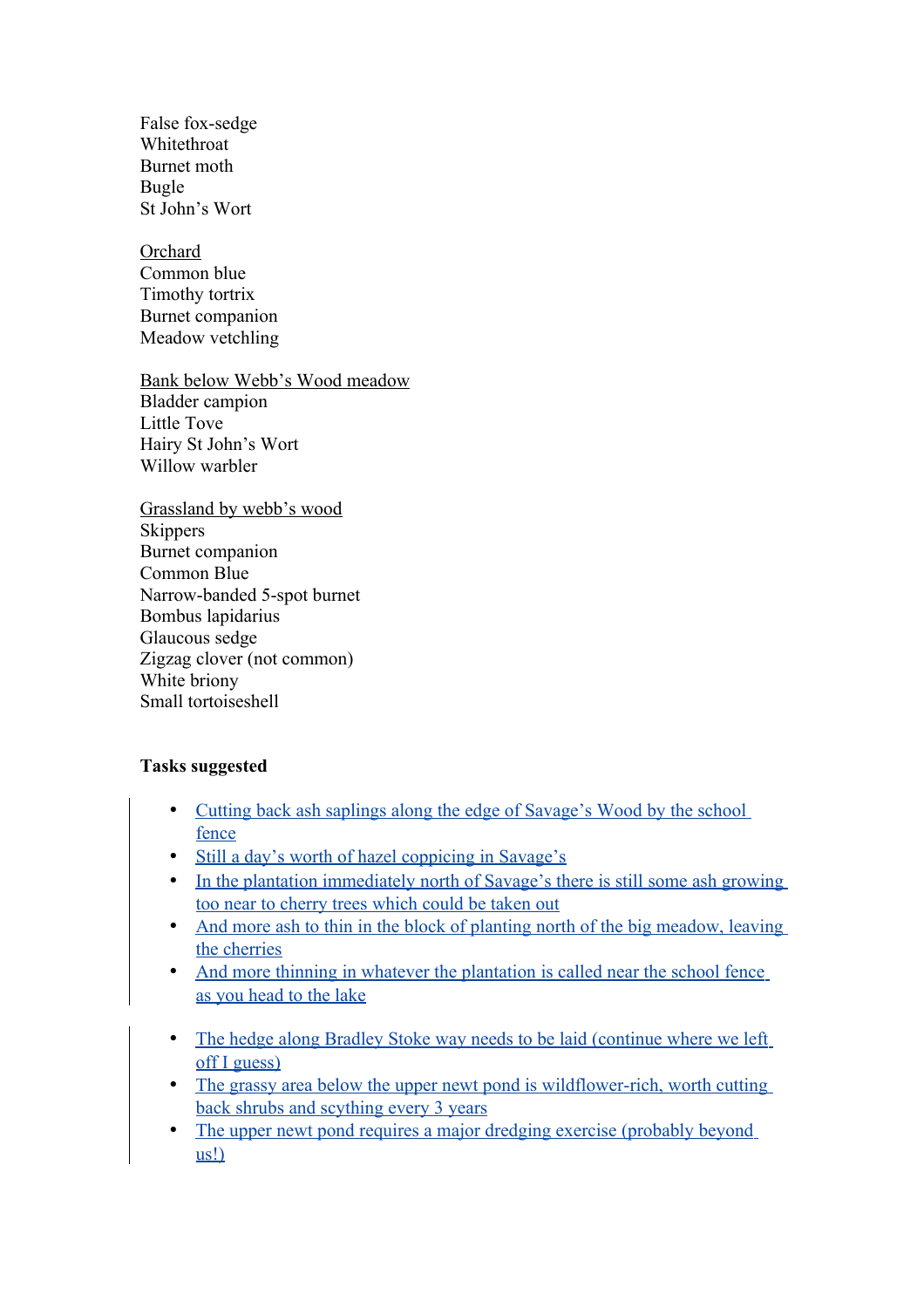False fox-sedge Whitethroat Burnet moth Bugle St John's Wort

**Orchard** Common blue Timothy tortrix Burnet companion Meadow vetchling

Bank below Webb's Wood meadow Bladder campion Little Tove Hairy St John's Wort Willow warbler

Grassland by webb's wood **Skippers** Burnet companion Common Blue Narrow-banded 5-spot burnet Bombus lapidarius Glaucous sedge Zigzag clover (not common) White briony Small tortoiseshell

## **Tasks suggested**

- Cutting back ash saplings along the edge of Savage's Wood by the school fence
- Still a day's worth of hazel coppicing in Savage's
- In the plantation immediately north of Savage's there is still some ash growing too near to cherry trees which could be taken out
- And more ash to thin in the block of planting north of the big meadow, leaving the cherries
- And more thinning in whatever the plantation is called near the school fence as you head to the lake
- The hedge along Bradley Stoke way needs to be laid (continue where we left off I guess)
- The grassy area below the upper newt pond is wildflower-rich, worth cutting back shrubs and scything every 3 years
- The upper newt pond requires a major dredging exercise (probably beyond us!)